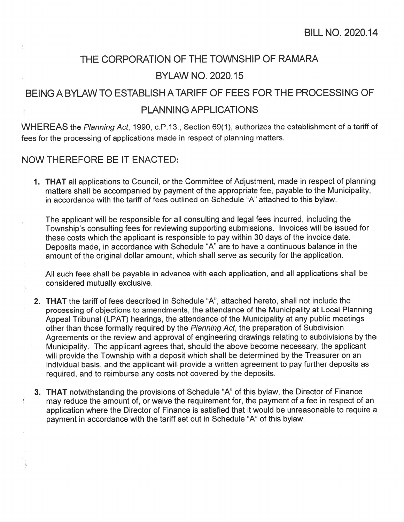## THE CORPORATION OF THE TOWNSHIP OF RAMARA BYLAW NO. 2020.15

## BEING A BYLAW TO ESTABLISH ATARIFF OF FEES FOR THE PROCESSING OF PLANNING APPLICATIONS

WHEREAS the Planning Act, 1990, c.P.13., Section 69(1), authorizes the establishment of <sup>a</sup> tariff of fees for the processing of applications made in respec<sup>t</sup> of planning matters.

## NOW THEREFORE BE IT ENACTED:

ÿ

1. THAT all applications to Council, or the Committee of Adjustment, made in respect of planning matters shall be accompanied by paymen<sup>t</sup> of the appropriate fee, payable to the Municipality, in accordance with the tariff of fees outlined on Schedule "A" attached to this bylaw.

The applicant will be responsible for all consulting and legal fees incurred, including the Township's consulting fees for reviewing supporting submissions. Invoices will be issued for these costs which the applicant is responsible to pay within 30 days of the invoice date. Deposits made, in accordance with Schedule "A" are to have <sup>a</sup> continuous balance in the amount of the original dollar amount, which shall serve as security for the application.

All such fees shall be payable in advance with each application, and all applications shall be considered mutually exclusive.

- 2. THAT the tariff of fees described in Schedule "A", attached hereto, shall not include the processing of objections to amendments, the attendance of the Municipality at Local Planning Appeal Tribunal (LPAT) hearings, the attendance of the Municipality at any public meetings other than those formally required by the Planning Act, the preparation of Subdivision<br>Agreements or the review and approval of engineering drawings relating to subdivisions by the Municipality. The applicant agrees that, should the above become necessary, the applicant will provide the Township with a deposit which shall be determined by the Treasurer on an individual basis, and the applicant will provide a written agreement to pay further deposits as required, and to reimburse any costs not covered by the deposits.
- 3. THAT notwithstanding the provisions of Schedule "A" of this bylaw, the Director of Finance may reduce the amount of, or waive the requirement for, the paymen<sup>t</sup> of <sup>a</sup> fee in respec<sup>t</sup> of an application where the Director of Finance is satisfied that it would be unreasonable to require <sup>a</sup> paymen<sup>t</sup> in accordance with the tariff set out in Schedule 'A" of this bylaw.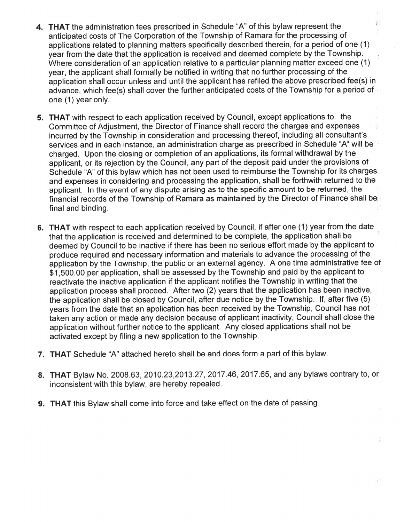- $\frac{1}{4}$  : **4. THAT** the administration fees prescribed in Schedule "A" of this bylaw represent the anticipated costs of The Corporation of the Township of Ramara for the processing of applications related to <sup>p</sup>lanning matters specifically described therein, for <sup>a</sup> period of one (1) year from the date that the application is received and deemed complete by the Township.  $\frac{1}{2}$ Where consideration of an application relative to <sup>a</sup> particular <sup>p</sup>lanning matter exceed one (1) year, the applicant shall formally be notified in writing that no further processing of the application shall occur unless and until the applicant has refiled the above prescribed fee(s) in advance, which fee(s) shall cover the further anticipated costs of the Township for <sup>a</sup> period of one (1) year only.
- **5. THAT** with respect to each application received by Council, except applications to the Committee of Adjustment, the Director of Finance shall record the charges and expenses incurred by the Township in consideration and processing thereof, including all consultant's services and in each instance, an administration charge as prescribed in Schedule "A" will be charged. Upon the closing or completion of an applications, its formal withdrawal by the applicant, or its rejection by the Council, any par<sup>t</sup> of the deposit paid under the provisions of Schedule "A" of this bylaw which has not been used to reimburse the Township for its charges and expenses in considering and processing the application, shall be forthwith returned to the applicant. In the event of any dispute arising as to the specific amount to be returned, the financial records of the Township of Ramara as maintained by the Director of Finance shall be final and binding.
- **6. THAT** with respect to each application received by Council, if after one (1) year from the date that the application is received and determined to be complete, the application shall be deemed by Council to be inactive if there has been no serious effort made by the applicant to produce required and necessary information and materials to advance the processing of the application by the Township, the public or an external agency. <sup>A</sup> one time administrative fee of \$1 500.00 per application, shall be assessed by the Township and paid by the applicant to reactivate the inactive application if the applicant notifies the Township in writing that the application process shall proceed. After two (2) years that the application has been inactive, the application shall be closed by Council, after due notice by the Township. If, after five (5) years from the date that an application has been received by the Township, Council has not taken any action or made any decision because of applicant inactivity, Council shall close the application without further notice to the applicant. Any closed applications shall not be activated excep<sup>t</sup> by filing <sup>a</sup> new application to the Township.
- 7. THAT Schedule "A" attached hereto shall be and does form <sup>a</sup> par<sup>t</sup> of this bylaw.
- 8. THAT Bylaw No. 2008.63, 2010.23,2013.27, 2017.46, 2017.65, and any bylaws contrary to, or inconsistent with this bylaw, are hereby repealed.
- **9. THAT** this Bylaw shall come into force and take effect on the date of passing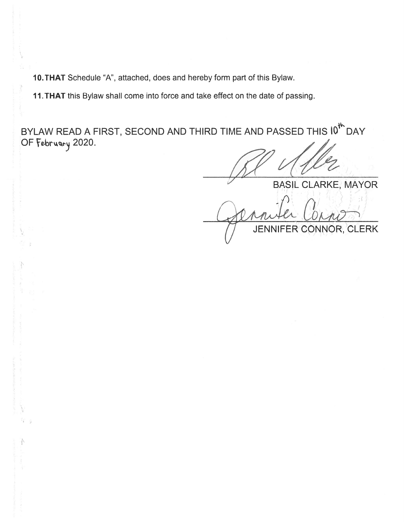10. THAT Schedule "A", attached, does and hereby form part of this Bylaw.

11. THAT this Bylaw shall come into force and take effect on the date of passing.

4r BYLAW READ A FIRST, SECOND AND THIRD TIME AND PASSED THIS I<sup>0'</sup> DAY OF February 2020.

BASIL CLARKE, MAYOR

JENNIFER CONNOR, CLERK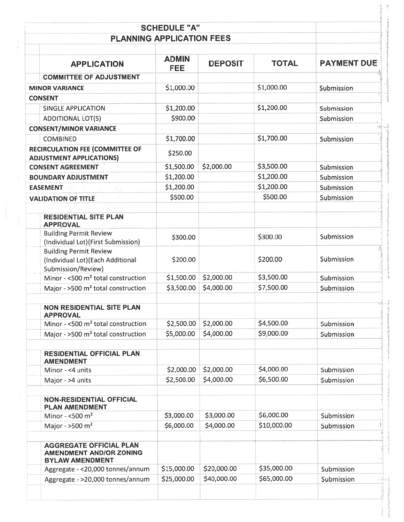| <b>PLANNING APPLICATION FEES</b>                                                           |                            |                |              |                    |
|--------------------------------------------------------------------------------------------|----------------------------|----------------|--------------|--------------------|
| <b>APPLICATION</b>                                                                         | <b>ADMIN</b><br><b>FEE</b> | <b>DEPOSIT</b> | <b>TOTAL</b> | <b>PAYMENT DUE</b> |
| <b>COMMITTEE OF ADJUSTMENT</b>                                                             |                            |                |              |                    |
| <b>MINOR VARIANCE</b>                                                                      | \$1,000.00                 |                | \$1,000.00   | Submission         |
| <b>CONSENT</b>                                                                             |                            |                |              |                    |
| <b>SINGLE APPLICATION</b>                                                                  | \$1,200.00                 |                | \$1,200.00   | Submission         |
| <b>ADDITIONAL LOT(S)</b>                                                                   | \$900.00                   |                |              | Submission         |
| <b>CONSENT/MINOR VARIANCE</b>                                                              |                            |                |              |                    |
| <b>COMBINED</b>                                                                            | \$1,700.00                 |                | \$1,700.00   | Submission         |
| <b>RECIRCULATION FEE (COMMITTEE OF</b><br><b>ADJUSTMENT APPLICATIONS)</b>                  | \$250.00                   |                |              |                    |
| <b>CONSENT AGREEMENT</b>                                                                   | \$1,500.00                 | \$2,000.00     | \$3,500.00   | Submission         |
| <b>BOUNDARY ADJUSTMENT</b>                                                                 | \$1,200.00                 |                | \$1,200.00   | Submission         |
| <b>EASEMENT</b>                                                                            | \$1,200.00                 |                | \$1,200.00   | Submission         |
| <b>VALIDATION OF TITLE</b>                                                                 | \$500.00                   |                | \$500.00     | Submission         |
| <b>RESIDENTIAL SITE PLAN</b><br><b>APPROVAL</b>                                            |                            |                |              |                    |
| <b>Building Permit Review</b><br>(Individual Lot) (First Submission)                       | \$300.00                   |                | \$300.00     | Submission         |
| <b>Building Permit Review</b><br>(Individual Lot) (Each Additional<br>Submission/Review)   | \$200.00                   |                | \$200.00     | Submission         |
| Minor - <500 m <sup>2</sup> total construction                                             | \$1,500.00                 | \$2,000.00     | \$3,500.00   | Submission         |
| Major - >500 m <sup>2</sup> total construction                                             | \$3,500.00                 | \$4,000.00     | \$7,500.00   | Submission         |
| <b>NON RESIDENTIAL SITE PLAN</b><br><b>APPROVAL</b>                                        |                            |                |              |                    |
| Minor - <500 m <sup>2</sup> total construction                                             | \$2,500.00                 | \$2,000.00     | \$4,500.00   | Submission         |
| Major - >500 m <sup>2</sup> total construction                                             | \$5,000.00                 | \$4,000.00     | \$9,000.00   | Submission         |
| <b>RESIDENTIAL OFFICIAL PLAN</b><br><b>AMENDMENT</b>                                       |                            |                |              |                    |
| Minor - <4 units                                                                           | \$2,000.00                 | \$2,000.00     | \$4,000.00   | Submission         |
| Major - >4 units                                                                           | \$2,500.00                 | \$4,000.00     | \$6,500.00   | Submission         |
| <b>NON-RESIDENTIAL OFFICIAL</b><br><b>PLAN AMENDMENT</b>                                   |                            |                |              |                    |
| Minor - $<$ 500 m <sup>2</sup>                                                             | \$3,000.00                 | \$3,000.00     | \$6,000.00   | Submission         |
| Major - $>500 \text{ m}^2$                                                                 | \$6,000.00                 | \$4,000.00     | \$10,000.00  | Submission         |
| <b>AGGREGATE OFFICIAL PLAN</b><br><b>AMENDMENT AND/OR ZONING</b><br><b>BYLAW AMENDMENT</b> |                            |                |              |                    |
| Aggregate - < 20,000 tonnes/annum                                                          | \$15,000.00                | \$20,000.00    | \$35,000.00  | Submission         |
| Aggregate - >20,000 tonnes/annum                                                           | \$25,000.00                | \$40,000.00    | \$65,000.00  | Submission         |